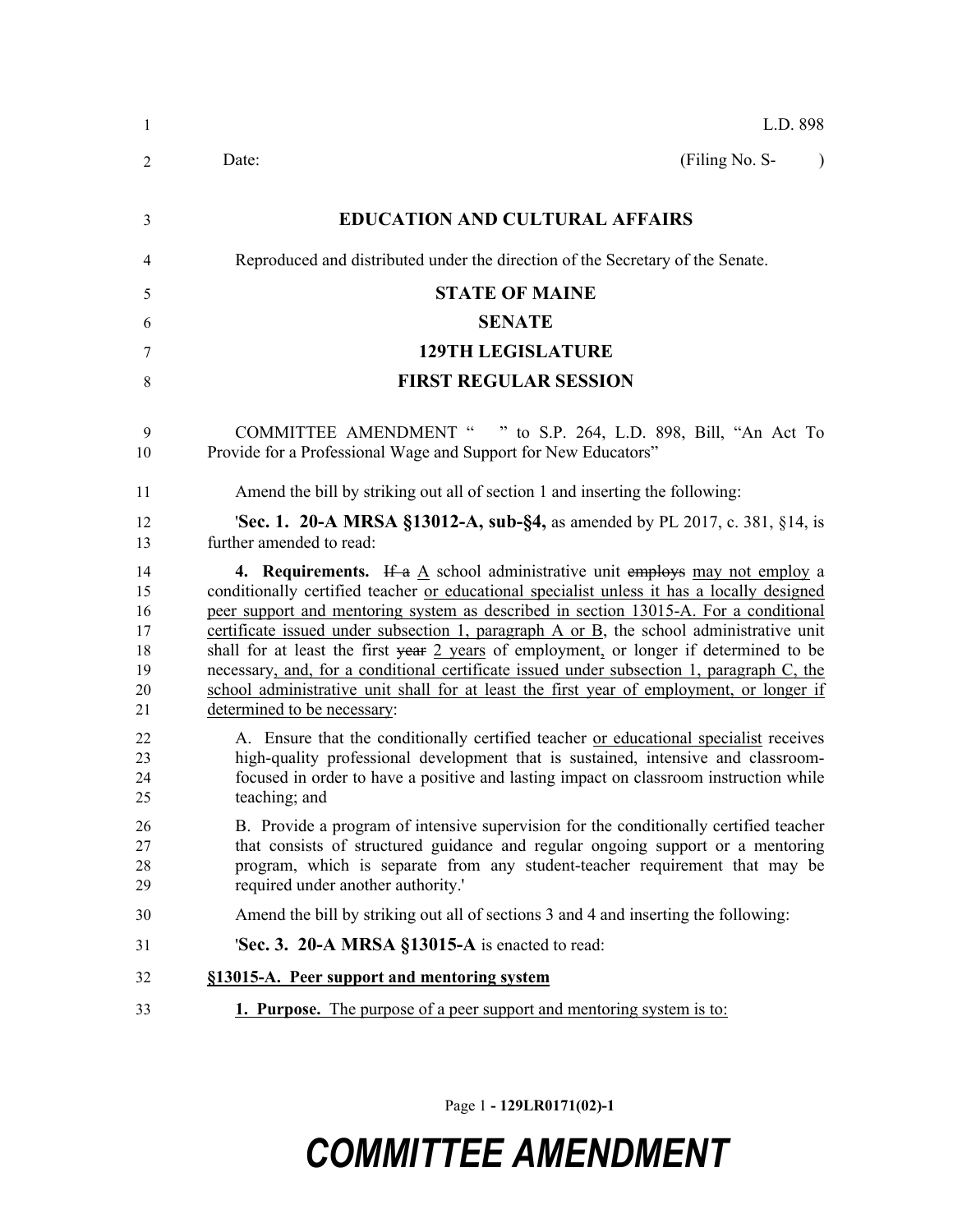| 1                                            | L.D. 898                                                                                                                                                                                                                                                                                                                                                                                                                                                                                                                                                                                                                                                                                   |
|----------------------------------------------|--------------------------------------------------------------------------------------------------------------------------------------------------------------------------------------------------------------------------------------------------------------------------------------------------------------------------------------------------------------------------------------------------------------------------------------------------------------------------------------------------------------------------------------------------------------------------------------------------------------------------------------------------------------------------------------------|
| 2                                            | (Filing No. S-<br>Date:<br>$\lambda$                                                                                                                                                                                                                                                                                                                                                                                                                                                                                                                                                                                                                                                       |
| 3                                            | <b>EDUCATION AND CULTURAL AFFAIRS</b>                                                                                                                                                                                                                                                                                                                                                                                                                                                                                                                                                                                                                                                      |
| 4                                            | Reproduced and distributed under the direction of the Secretary of the Senate.                                                                                                                                                                                                                                                                                                                                                                                                                                                                                                                                                                                                             |
| 5                                            | <b>STATE OF MAINE</b>                                                                                                                                                                                                                                                                                                                                                                                                                                                                                                                                                                                                                                                                      |
| 6                                            | <b>SENATE</b>                                                                                                                                                                                                                                                                                                                                                                                                                                                                                                                                                                                                                                                                              |
| 7                                            | <b>129TH LEGISLATURE</b>                                                                                                                                                                                                                                                                                                                                                                                                                                                                                                                                                                                                                                                                   |
| 8                                            | <b>FIRST REGULAR SESSION</b>                                                                                                                                                                                                                                                                                                                                                                                                                                                                                                                                                                                                                                                               |
| 9<br>10                                      | COMMITTEE AMENDMENT " " to S.P. 264, L.D. 898, Bill, "An Act To<br>Provide for a Professional Wage and Support for New Educators"                                                                                                                                                                                                                                                                                                                                                                                                                                                                                                                                                          |
| 11                                           | Amend the bill by striking out all of section 1 and inserting the following:                                                                                                                                                                                                                                                                                                                                                                                                                                                                                                                                                                                                               |
| 12<br>13                                     | <b>Sec. 1. 20-A MRSA §13012-A, sub-§4, as amended by PL 2017, c. 381, §14, is</b><br>further amended to read:                                                                                                                                                                                                                                                                                                                                                                                                                                                                                                                                                                              |
| 14<br>15<br>16<br>17<br>18<br>19<br>20<br>21 | <b>4. Requirements.</b> If a A school administrative unit employs may not employ a<br>conditionally certified teacher or educational specialist unless it has a locally designed<br>peer support and mentoring system as described in section 13015-A. For a conditional<br>certificate issued under subsection 1, paragraph $A$ or $B$ , the school administrative unit<br>shall for at least the first year 2 years of employment, or longer if determined to be<br>necessary, and, for a conditional certificate issued under subsection 1, paragraph C, the<br>school administrative unit shall for at least the first year of employment, or longer if<br>determined to be necessary: |
| 22<br>23<br>24<br>25                         | A. Ensure that the conditionally certified teacher or educational specialist receives<br>high-quality professional development that is sustained, intensive and classroom-<br>focused in order to have a positive and lasting impact on classroom instruction while<br>teaching; and                                                                                                                                                                                                                                                                                                                                                                                                       |
| 26<br>27<br>28<br>29                         | B. Provide a program of intensive supervision for the conditionally certified teacher<br>that consists of structured guidance and regular ongoing support or a mentoring<br>program, which is separate from any student-teacher requirement that may be<br>required under another authority.'                                                                                                                                                                                                                                                                                                                                                                                              |
| 30                                           | Amend the bill by striking out all of sections 3 and 4 and inserting the following:                                                                                                                                                                                                                                                                                                                                                                                                                                                                                                                                                                                                        |
| 31                                           | 'Sec. 3. 20-A MRSA §13015-A is enacted to read:                                                                                                                                                                                                                                                                                                                                                                                                                                                                                                                                                                                                                                            |
| 32                                           | §13015-A. Peer support and mentoring system                                                                                                                                                                                                                                                                                                                                                                                                                                                                                                                                                                                                                                                |
| 33                                           | <b>1. Purpose.</b> The purpose of a peer support and mentoring system is to:                                                                                                                                                                                                                                                                                                                                                                                                                                                                                                                                                                                                               |

Page 1 **- 129LR0171(02)-1**

## *COMMITTEE AMENDMENT*